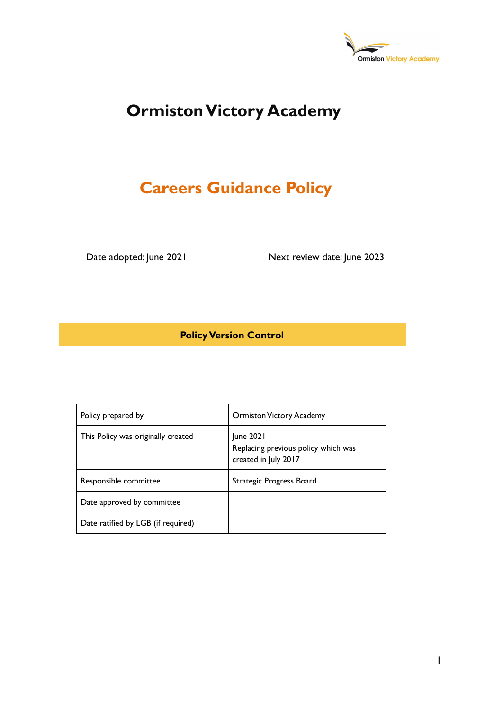

# **Ormiston Victory Academy**

# **Careers Guidance Policy**

Date adopted: June 2021 Next review date: June 2023

**Policy Version Control**

| Policy prepared by                 | <b>Ormiston Victory Academy</b>                                          |
|------------------------------------|--------------------------------------------------------------------------|
| This Policy was originally created | June 2021<br>Replacing previous policy which was<br>created in July 2017 |
| Responsible committee              | Strategic Progress Board                                                 |
| Date approved by committee         |                                                                          |
| Date ratified by LGB (if required) |                                                                          |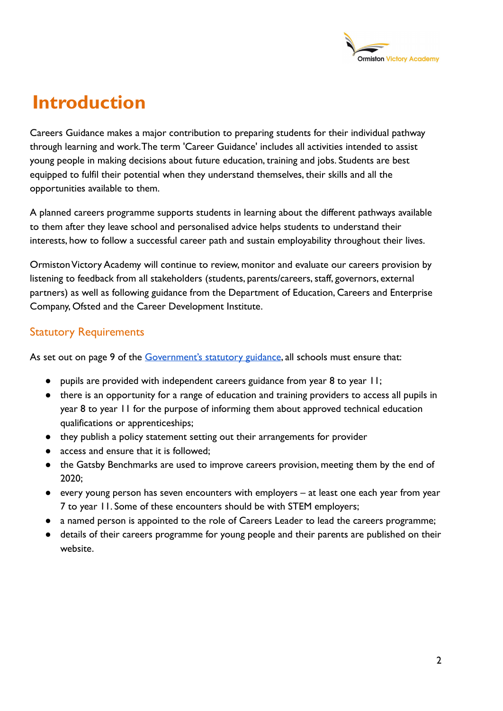

# **Introduction**

Careers Guidance makes a major contribution to preparing students for their individual pathway through learning and work.The term 'Career Guidance' includes all activities intended to assist young people in making decisions about future education, training and jobs. Students are best equipped to fulfil their potential when they understand themselves, their skills and all the opportunities available to them.

A planned careers programme supports students in learning about the different pathways available to them after they leave school and personalised advice helps students to understand their interests, how to follow a successful career path and sustain employability throughout their lives.

Ormiston Victory Academy will continue to review, monitor and evaluate our careers provision by listening to feedback from all stakeholders (students, parents/careers, staff, governors, external partners) as well as following guidance from the Department of Education, Careers and Enterprise Company, Ofsted and the Career Development Institute.

### Statutory Requirements

As set out on page 9 of the [Government's statutory](https://www.gov.uk/government/publications/careers-guidance-provision-for-young-people-in-schools) guidance, all schools must ensure that:

- pupils are provided with independent careers guidance from year 8 to year 11;
- there is an opportunity for a range of education and training providers to access all pupils in year 8 to year 11 for the purpose of informing them about approved technical education qualifications or apprenticeships;
- they publish a policy statement setting out their arrangements for provider
- access and ensure that it is followed:
- the Gatsby Benchmarks are used to improve careers provision, meeting them by the end of 2020;
- every young person has seven encounters with employers at least one each year from year 7 to year 11. Some of these encounters should be with STEM employers;
- a named person is appointed to the role of Careers Leader to lead the careers programme;
- details of their careers programme for young people and their parents are published on their website.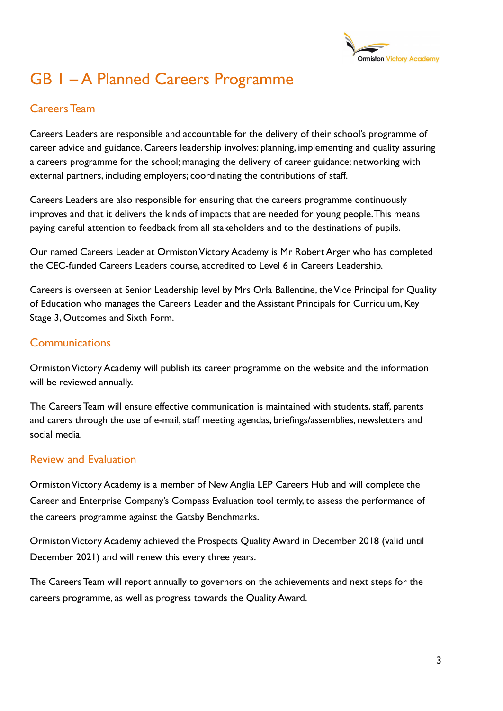

# GB 1 – A Planned Careers Programme

### Careers Team

Careers Leaders are responsible and accountable for the delivery of their school's programme of career advice and guidance. Careers leadership involves: planning, implementing and quality assuring a careers programme for the school; managing the delivery of career guidance; networking with external partners, including employers; coordinating the contributions of staff.

Careers Leaders are also responsible for ensuring that the careers programme continuously improves and that it delivers the kinds of impacts that are needed for young people.This means paying careful attention to feedback from all stakeholders and to the destinations of pupils.

Our named Careers Leader at Ormiston Victory Academy is Mr Robert Arger who has completed the CEC-funded Careers Leaders course, accredited to Level 6 in Careers Leadership.

Careers is overseen at Senior Leadership level by Mrs Orla Ballentine, the Vice Principal for Quality of Education who manages the Careers Leader and the Assistant Principals for Curriculum, Key Stage 3, Outcomes and Sixth Form.

### **Communications**

Ormiston Victory Academy will publish its career programme on the website and the information will be reviewed annually.

The Careers Team will ensure effective communication is maintained with students, staff, parents and carers through the use of e-mail, staff meeting agendas, briefings/assemblies, newsletters and social media.

#### Review and Evaluation

Ormiston Victory Academy is a member of New Anglia LEP Careers Hub and will complete the Career and Enterprise Company's Compass Evaluation tool termly, to assess the performance of the careers programme against the Gatsby Benchmarks.

Ormiston Victory Academy achieved the Prospects Quality Award in December 2018 (valid until December 2021) and will renew this every three years.

The Careers Team will report annually to governors on the achievements and next steps for the careers programme, as well as progress towards the Quality Award.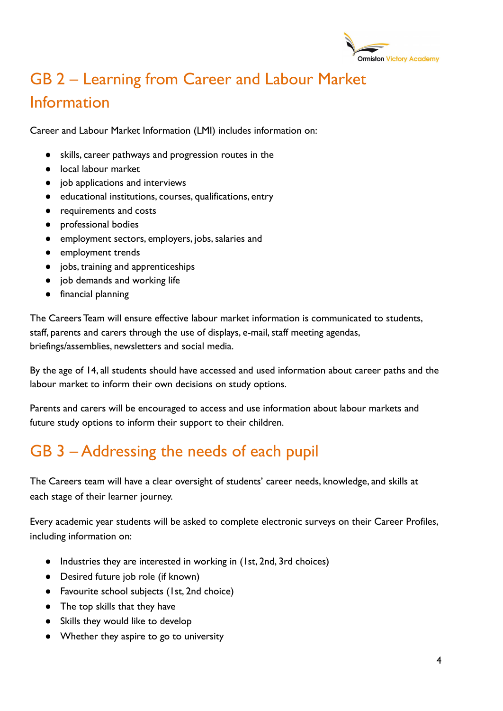

# GB 2 – Learning from Career and Labour Market Information

Career and Labour Market Information (LMI) includes information on:

- skills, career pathways and progression routes in the
- local labour market
- job applications and interviews
- educational institutions, courses, qualifications, entry
- requirements and costs
- professional bodies
- employment sectors, employers, jobs, salaries and
- employment trends
- jobs, training and apprenticeships
- job demands and working life
- financial planning

The Careers Team will ensure effective labour market information is communicated to students, staff, parents and carers through the use of displays, e-mail, staff meeting agendas, briefings/assemblies, newsletters and social media.

By the age of 14, all students should have accessed and used information about career paths and the labour market to inform their own decisions on study options.

Parents and carers will be encouraged to access and use information about labour markets and future study options to inform their support to their children.

# GB 3 – Addressing the needs of each pupil

The Careers team will have a clear oversight of students' career needs, knowledge, and skills at each stage of their learner journey.

Every academic year students will be asked to complete electronic surveys on their Career Profiles, including information on:

- Industries they are interested in working in (1st, 2nd, 3rd choices)
- Desired future job role (if known)
- Favourite school subjects (1st, 2nd choice)
- The top skills that they have
- Skills they would like to develop
- Whether they aspire to go to university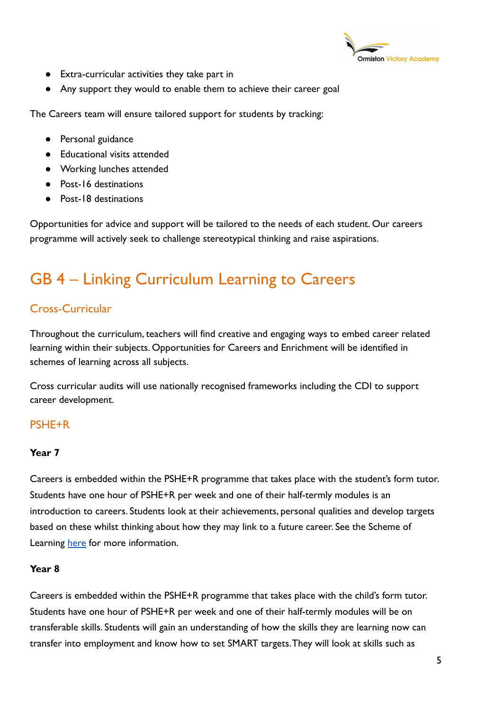

- Extra-curricular activities they take part in
- Any support they would to enable them to achieve their career goal

The Careers team will ensure tailored support for students by tracking:

- Personal guidance
- Educational visits attended
- Working lunches attended
- Post-16 destinations
- Post-18 destinations

Opportunities for advice and support will be tailored to the needs of each student. Our careers programme will actively seek to challenge stereotypical thinking and raise aspirations.

# GB 4 – Linking Curriculum Learning to Careers

## Cross-Curricular

Throughout the curriculum, teachers will find creative and engaging ways to embed career related learning within their subjects. Opportunities for Careers and Enrichment will be identified in schemes of learning across all subjects.

Cross curricular audits will use nationally recognised frameworks including the CDI to support career development.

### PSHE+R

#### **Year 7**

Careers is embedded within the PSHE+R programme that takes place with the student's form tutor. Students have one hour of PSHE+R per week and one of their half-termly modules is an introduction to careers. Students look at their achievements, personal qualities and develop targets based on these whilst thinking about how they may link to a future career. See the Scheme of Learning [here](https://docs.google.com/document/d/14_BSmLEteN2gxpUiBkU-VcHnj1FMxYSB/edit) for more information.

#### **Year 8**

Careers is embedded within the PSHE+R programme that takes place with the child's form tutor. Students have one hour of PSHE+R per week and one of their half-termly modules will be on transferable skills. Students will gain an understanding of how the skills they are learning now can transfer into employment and know how to set SMART targets.They will look at skills such as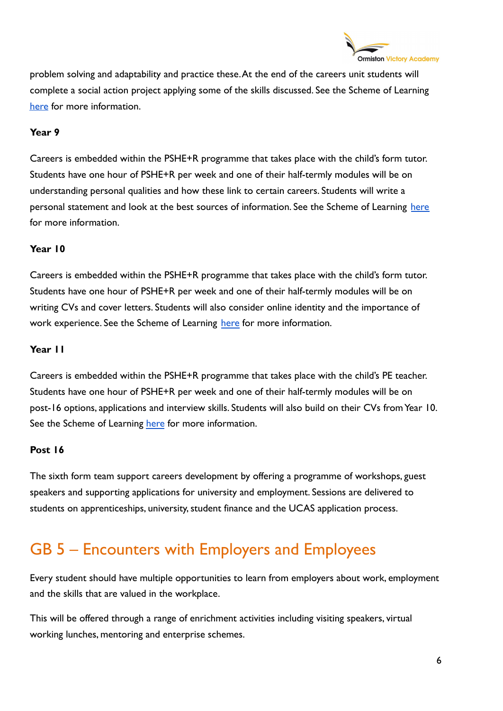

problem solving and adaptability and practice these.At the end of the careers unit students will complete a social action project applying some of the skills discussed. See the Scheme of Learning [here](https://docs.google.com/document/d/1YLJysgJZD6wNjg3WLcSNXsa4IGfchvkG/edit) for more information.

#### **Year 9**

Careers is embedded within the PSHE+R programme that takes place with the child's form tutor. Students have one hour of PSHE+R per week and one of their half-termly modules will be on understanding personal qualities and how these link to certain careers. Students will write a personal statement and look at the best sources of information. See the Scheme of Learning [here](https://docs.google.com/document/d/1kWjG0bLH8cLh-hy6KrpH7t3EkymZ_cje/edit?usp=drive_web&ouid=107267439547617261856&rtpof=true) for more information.

#### **Year 10**

Careers is embedded within the PSHE+R programme that takes place with the child's form tutor. Students have one hour of PSHE+R per week and one of their half-termly modules will be on writing CVs and cover letters. Students will also consider online identity and the importance of work experience. See the Scheme of Learning [here](https://docs.google.com/document/d/1G4dyugb1O9WFRg9HF4lxqy1KBcsHp2p6/edit) for more information.

#### **Year 11**

Careers is embedded within the PSHE+R programme that takes place with the child's PE teacher. Students have one hour of PSHE+R per week and one of their half-termly modules will be on post-16 options, applications and interview skills. Students will also build on their CVs from Year 10. See the Scheme of Learning [here](https://docs.google.com/document/d/1_r2xj3jkHj1lSPMWJP6mD-HCmUbIC--7/edit) for more information.

#### **Post 16**

The sixth form team support careers development by offering a programme of workshops, guest speakers and supporting applications for university and employment. Sessions are delivered to students on apprenticeships, university, student finance and the UCAS application process.

## GB 5 – Encounters with Employers and Employees

Every student should have multiple opportunities to learn from employers about work, employment and the skills that are valued in the workplace.

This will be offered through a range of enrichment activities including visiting speakers, virtual working lunches, mentoring and enterprise schemes.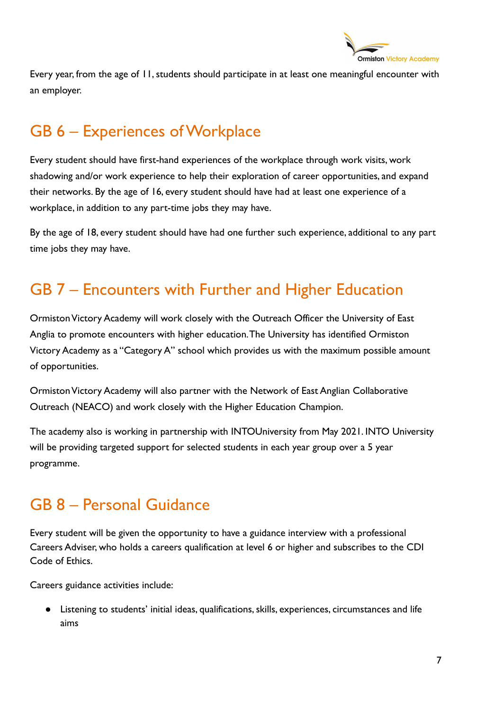

Every year, from the age of 11, students should participate in at least one meaningful encounter with an employer.

# GB 6 - Experiences of Workplace

Every student should have first-hand experiences of the workplace through work visits, work shadowing and/or work experience to help their exploration of career opportunities, and expand their networks. By the age of 16, every student should have had at least one experience of a workplace, in addition to any part-time jobs they may have.

By the age of 18, every student should have had one further such experience, additional to any part time jobs they may have.

## GB 7 – Encounters with Further and Higher Education

Ormiston Victory Academy will work closely with the Outreach Officer the University of East Anglia to promote encounters with higher education.The University has identified Ormiston Victory Academy as a "Category A" school which provides us with the maximum possible amount of opportunities.

Ormiston Victory Academy will also partner with the Network of East Anglian Collaborative Outreach (NEACO) and work closely with the Higher Education Champion.

The academy also is working in partnership with INTOUniversity from May 2021. INTO University will be providing targeted support for selected students in each year group over a 5 year programme.

## GB 8 – Personal Guidance

Every student will be given the opportunity to have a guidance interview with a professional Careers Adviser, who holds a careers qualification at level 6 or higher and subscribes to the CDI Code of Ethics.

Careers guidance activities include:

● Listening to students' initial ideas, qualifications, skills, experiences, circumstances and life aims